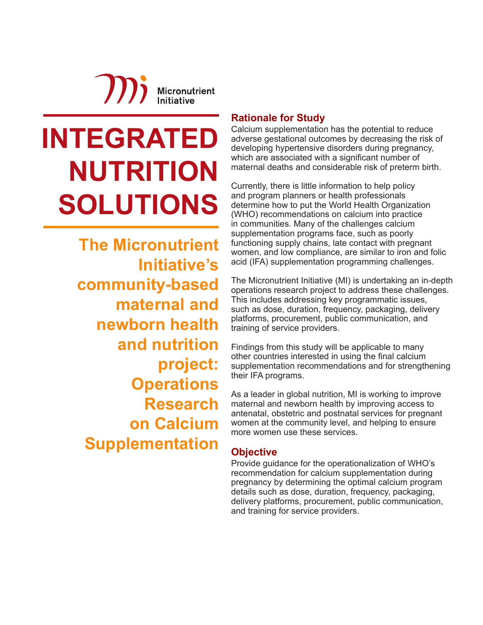**JDi Micronutrient Initiative** 

# **INTEGRATED NUTRITION SOLUTIONS**

**The Micronutrient Initiative's community-based maternal and newborn health and nutrition project: Operations Research on Calcium Supplementation**

#### **Rationale for Study**

Calcium supplementation has the potential to reduce adverse gestational outcomes by decreasing the risk of developing hypertensive disorders during pregnancy, which are associated with a significant number of maternal deaths and considerable risk of preterm birth.

Currently, there is little information to help policy and program planners or health professionals determine how to put the World Health Organization (WHO) recommendations on calcium into practice in communities. Many of the challenges calcium supplementation programs face, such as poorly functioning supply chains, late contact with pregnant women, and low compliance, are similar to iron and folic acid (IFA) supplementation programming challenges.

The Micronutrient Initiative (MI) is undertaking an in-depth operations research project to address these challenges. This includes addressing key programmatic issues, such as dose, duration, frequency, packaging, delivery platforms, procurement, public communication, and training of service providers.

Findings from this study will be applicable to many other countries interested in using the final calcium supplementation recommendations and for strengthening their IFA programs.

As a leader in global nutrition, MI is working to improve maternal and newborn health by improving access to antenatal, obstetric and postnatal services for pregnant women at the community level, and helping to ensure more women use these services.

#### **Objective**

Provide guidance for the operationalization of WHO's recommendation for calcium supplementation during pregnancy by determining the optimal calcium program details such as dose, duration, frequency, packaging, delivery platforms, procurement, public communication, and training for service providers.